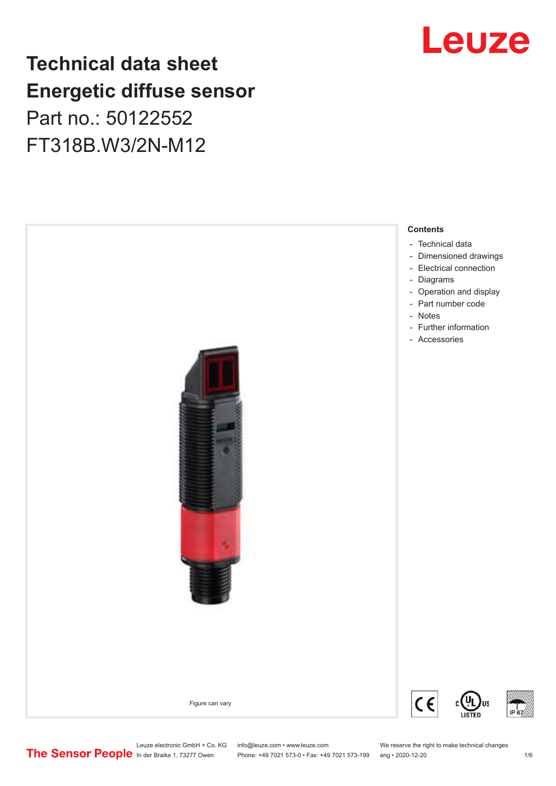## Leuze

### **Technical data sheet Energetic diffuse sensor** Part no.: 50122552

FT318B.W3/2N-M12

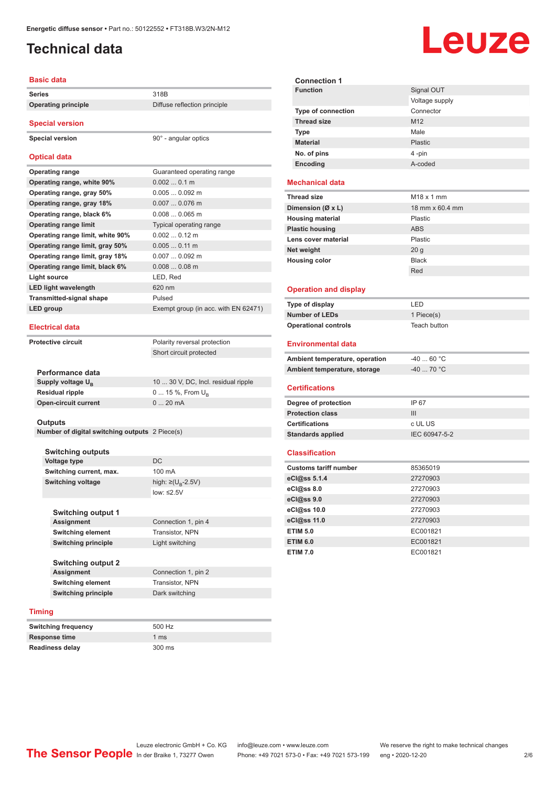### <span id="page-1-0"></span>**Technical data**

#### **Basic data**

| <b>Series</b>                    | 318B                                 |
|----------------------------------|--------------------------------------|
| <b>Operating principle</b>       | Diffuse reflection principle         |
| <b>Special version</b>           |                                      |
| <b>Special version</b>           | 90° - angular optics                 |
| <b>Optical data</b>              |                                      |
| <b>Operating range</b>           | Guaranteed operating range           |
| Operating range, white 90%       | 0.0020.1 m                           |
| Operating range, gray 50%        | $0.0050.092$ m                       |
| Operating range, gray 18%        | $0.0070.076$ m                       |
| Operating range, black 6%        | $0.0080.065$ m                       |
| <b>Operating range limit</b>     | Typical operating range              |
| Operating range limit, white 90% | $0.0020.12 \text{ m}$                |
| Operating range limit, gray 50%  | $0.0050.11$ m                        |
| Operating range limit, gray 18%  | $0.0070.092$ m                       |
| Operating range limit, black 6%  | $0.0080.08$ m                        |
| Light source                     | LED, Red                             |
| <b>LED light wavelength</b>      | 620 nm                               |
| <b>Transmitted-signal shape</b>  | Pulsed                               |
| <b>LED</b> group                 | Exempt group (in acc. with EN 62471) |
| <b>Electrical data</b>           |                                      |
| <b>Protective circuit</b>        | Polarity reversal protection         |
|                                  |                                      |

Short circuit protected

| Performance data              |                                     |
|-------------------------------|-------------------------------------|
| Supply voltage U <sub>n</sub> | 10  30 V, DC, Incl. residual ripple |
| Residual ripple               | 0  15 %, From $U_{\rm B}$           |
| Open-circuit current          | $020$ mA                            |
|                               |                                     |

**Outputs**

**Number of digital switching outputs** 2 Piece(s)

| <b>Switching outputs</b>   |                                     |  |
|----------------------------|-------------------------------------|--|
| <b>Voltage type</b>        | DC.                                 |  |
| Switching current, max.    | 100 mA                              |  |
| <b>Switching voltage</b>   | high: $\geq$ (U <sub>B</sub> -2.5V) |  |
|                            | $low: \leq 2.5V$                    |  |
|                            |                                     |  |
| <b>Switching output 1</b>  |                                     |  |
| <b>Assignment</b>          | Connection 1, pin 4                 |  |
| <b>Switching element</b>   | <b>Transistor, NPN</b>              |  |
| <b>Switching principle</b> | Light switching                     |  |
|                            |                                     |  |
| <b>Switching output 2</b>  |                                     |  |

**Assignment** Connection 1, pin 2 **Switching element** Transistor, NPN **Switching principle** Dark switching

#### **Timing**

| <b>Switching frequency</b> | 500 Hz          |
|----------------------------|-----------------|
| Response time              | 1 <sub>ms</sub> |
| <b>Readiness delay</b>     | 300 ms          |

| <b>Connection 1</b>            |                   |
|--------------------------------|-------------------|
| <b>Function</b>                | Signal OUT        |
|                                | Voltage supply    |
| <b>Type of connection</b>      | Connector         |
| <b>Thread size</b>             | M <sub>12</sub>   |
| <b>Type</b>                    | Male              |
| <b>Material</b>                | Plastic           |
| No. of pins                    | 4-pin             |
| Encoding                       | A-coded           |
| <b>Mechanical data</b>         |                   |
| <b>Thread size</b>             | $M18 \times 1$ mm |
| Dimension (Ø x L)              | 18 mm x 60.4 mm   |
| <b>Housing material</b>        | Plastic           |
| <b>Plastic housing</b>         | <b>ABS</b>        |
| Lens cover material            | Plastic           |
| Net weight                     | 20 <sub>g</sub>   |
| <b>Housing color</b>           | <b>Black</b>      |
|                                | Red               |
|                                |                   |
| <b>Operation and display</b>   |                   |
| Type of display                | LED               |
| <b>Number of LEDs</b>          | 1 Piece(s)        |
| <b>Operational controls</b>    | Teach button      |
| <b>Environmental data</b>      |                   |
| Ambient temperature, operation | $-4060 °C$        |
| Ambient temperature, storage   | $-40$ 70 °C       |
| <b>Certifications</b>          |                   |
| Degree of protection           | IP 67             |
| <b>Protection class</b>        | III               |
| <b>Certifications</b>          | c UL US           |
| <b>Standards applied</b>       | IEC 60947-5-2     |
| <b>Classification</b>          |                   |
| <b>Customs tariff number</b>   |                   |
|                                | 85365019          |
| eCl@ss 5.1.4                   | 27270903          |
| eCl@ss 8.0                     | 27270903          |
| eCl@ss 9.0                     | 27270903          |
| eCl@ss 10.0                    | 27270903          |
| eCl@ss 11.0                    | 27270903          |
| <b>ETIM 5.0</b>                | EC001821          |
| <b>ETIM 6.0</b>                | EC001821          |
| <b>ETIM 7.0</b>                | EC001821          |

## Leuze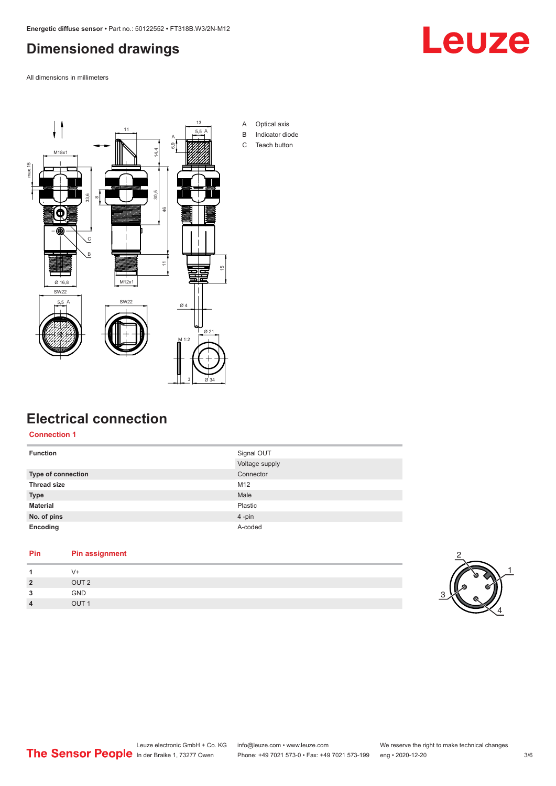#### <span id="page-2-0"></span>**Dimensioned drawings**

All dimensions in millimeters





#### **Electrical connection**

**Connection 1**

| <b>Function</b>           | Signal OUT     |
|---------------------------|----------------|
|                           | Voltage supply |
| <b>Type of connection</b> | Connector      |
| <b>Thread size</b>        | M12            |
| <b>Type</b>               | Male           |
| <b>Material</b>           | Plastic        |
| No. of pins               | 4-pin          |
| Encoding                  | A-coded        |

#### **Pin Pin assignment**

| 1              | V+               |  |
|----------------|------------------|--|
| $2^{\circ}$    | OUT <sub>2</sub> |  |
| 3              | GND              |  |
| $\overline{4}$ | OUT <sub>1</sub> |  |

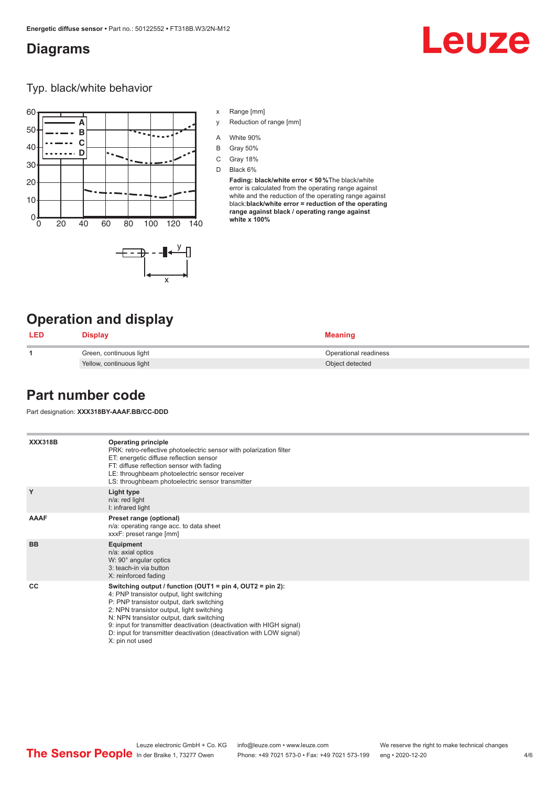#### <span id="page-3-0"></span>**Diagrams**

# Leuze

Typ. black/white behavior



- x Range [mm]
- y Reduction of range [mm]
- A White 90%
- B Gray 50%
- C Gray 18%
- D Black 6%

**Fading: black/white error < 50 %**The black/white error is calculated from the operating range against white and the reduction of the operating range against black:**black/white error = reduction of the operating range against black / operating range against white x 100%**

#### **Operation and display**

|  | Display                  | <b>Meaning</b>        |
|--|--------------------------|-----------------------|
|  | Green, continuous light  | Operational readiness |
|  | Yellow, continuous light | Object detected       |

#### **Part number code**

Part designation: **XXX318BY-AAAF.BB/CC-DDD**

**XXX318B Operating principle** PRK: retro-reflective photoelectric sensor with polarization filter ET: energetic diffuse reflection sensor FT: diffuse reflection sensor with fading LE: throughbeam photoelectric sensor receiver LS: throughbeam photoelectric sensor transmitter **Y Light type** n/a: red light I: infrared light **AAAF Preset range (optional)** n/a: operating range acc. to data sheet xxxF: preset range [mm] **BB Equipment** n/a: axial optics W: 90° angular optics 3: teach-in via button X: reinforced fading **CC Switching output / function (OUT1 = pin 4, OUT2 = pin 2):** 4: PNP transistor output, light switching P: PNP transistor output, dark switching 2: NPN transistor output, light switching N: NPN transistor output, dark switching 9: input for transmitter deactivation (deactivation with HIGH signal) D: input for transmitter deactivation (deactivation with LOW signal) X: pin not used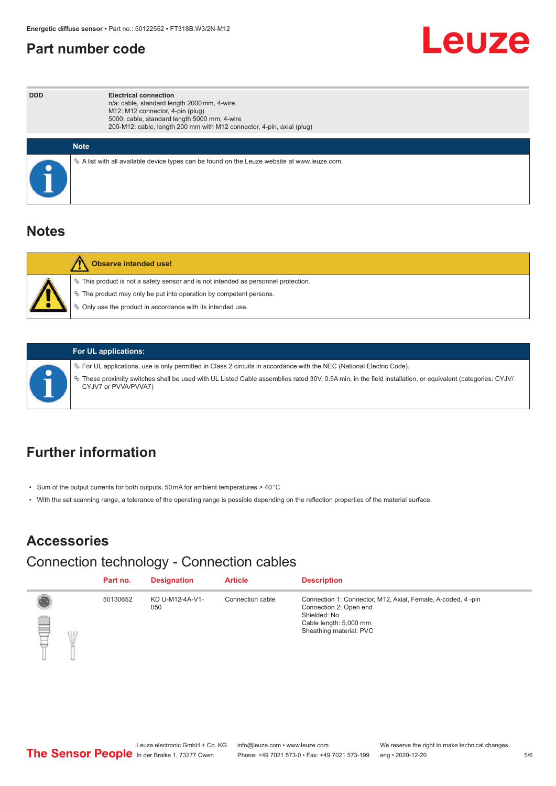#### <span id="page-4-0"></span>**Part number code**



| <b>DDD</b> | <b>Electrical connection</b><br>n/a: cable, standard length 2000 mm, 4-wire<br>M12: M12 connector, 4-pin (plug)<br>5000: cable, standard length 5000 mm, 4-wire<br>200-M12: cable, length 200 mm with M12 connector, 4-pin, axial (plug) |
|------------|------------------------------------------------------------------------------------------------------------------------------------------------------------------------------------------------------------------------------------------|
|            | <b>Note</b>                                                                                                                                                                                                                              |
|            | Vector A list with all available device types can be found on the Leuze website at www.leuze.com.                                                                                                                                        |

#### **Notes**

| <b>Observe intended use!</b>                                                                                                                                                                                                     |
|----------------------------------------------------------------------------------------------------------------------------------------------------------------------------------------------------------------------------------|
| $\%$ This product is not a safety sensor and is not intended as personnel protection.<br>$\&$ The product may only be put into operation by competent persons.<br>$\%$ Only use the product in accordance with its intended use. |

#### **For UL applications:**

ª For UL applications, use is only permitted in Class 2 circuits in accordance with the NEC (National Electric Code).

ª These proximity switches shall be used with UL Listed Cable assemblies rated 30V, 0.5A min, in the field installation, or equivalent (categories: CYJV/ CYJV7 or PVVA/PVVA7)

### **Further information**

- Sum of the output currents for both outputs, 50 mA for ambient temperatures > 40 °C
- With the set scanning range, a tolerance of the operating range is possible depending on the reflection properties of the material surface.

### **Accessories**

### Connection technology - Connection cables

|   | Part no. | <b>Designation</b>     | <b>Article</b>   | <b>Description</b>                                                                                                                                         |
|---|----------|------------------------|------------------|------------------------------------------------------------------------------------------------------------------------------------------------------------|
| ▌ | 50130652 | KD U-M12-4A-V1-<br>050 | Connection cable | Connection 1: Connector, M12, Axial, Female, A-coded, 4-pin<br>Connection 2: Open end<br>Shielded: No<br>Cable length: 5,000 mm<br>Sheathing material: PVC |